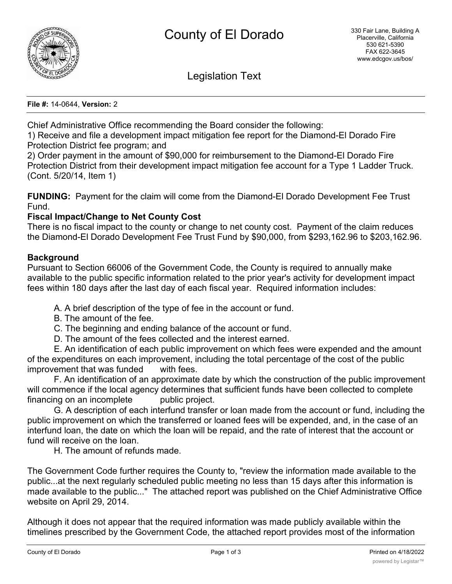

Legislation Text

**File #:** 14-0644, **Version:** 2

Chief Administrative Office recommending the Board consider the following:

1) Receive and file a development impact mitigation fee report for the Diamond-El Dorado Fire Protection District fee program; and

2) Order payment in the amount of \$90,000 for reimbursement to the Diamond-El Dorado Fire Protection District from their development impact mitigation fee account for a Type 1 Ladder Truck. (Cont. 5/20/14, Item 1)

**FUNDING:** Payment for the claim will come from the Diamond-El Dorado Development Fee Trust Fund.

## **Fiscal Impact/Change to Net County Cost**

There is no fiscal impact to the county or change to net county cost. Payment of the claim reduces the Diamond-El Dorado Development Fee Trust Fund by \$90,000, from \$293,162.96 to \$203,162.96.

## **Background**

Pursuant to Section 66006 of the Government Code, the County is required to annually make available to the public specific information related to the prior year's activity for development impact fees within 180 days after the last day of each fiscal year. Required information includes:

A. A brief description of the type of fee in the account or fund.

- B. The amount of the fee.
- C. The beginning and ending balance of the account or fund.
- D. The amount of the fees collected and the interest earned.

E. An identification of each public improvement on which fees were expended and the amount of the expenditures on each improvement, including the total percentage of the cost of the public improvement that was funded with fees.

F. An identification of an approximate date by which the construction of the public improvement will commence if the local agency determines that sufficient funds have been collected to complete financing on an incomplete public project.

G. A description of each interfund transfer or loan made from the account or fund, including the public improvement on which the transferred or loaned fees will be expended, and, in the case of an interfund loan, the date on which the loan will be repaid, and the rate of interest that the account or fund will receive on the loan.

H. The amount of refunds made.

The Government Code further requires the County to, "review the information made available to the public...at the next regularly scheduled public meeting no less than 15 days after this information is made available to the public..." The attached report was published on the Chief Administrative Office website on April 29, 2014.

Although it does not appear that the required information was made publicly available within the timelines prescribed by the Government Code, the attached report provides most of the information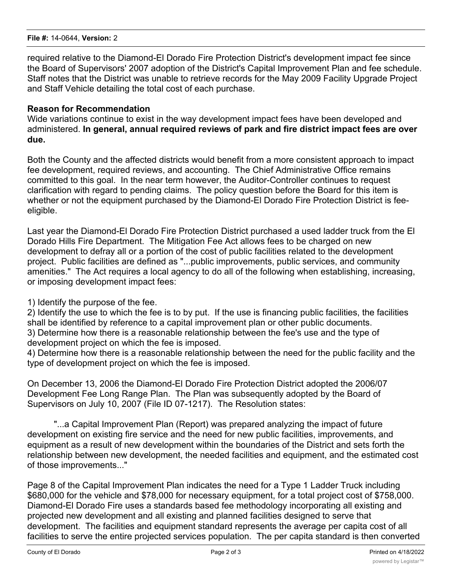required relative to the Diamond-El Dorado Fire Protection District's development impact fee since the Board of Supervisors' 2007 adoption of the District's Capital Improvement Plan and fee schedule. Staff notes that the District was unable to retrieve records for the May 2009 Facility Upgrade Project and Staff Vehicle detailing the total cost of each purchase.

## **Reason for Recommendation**

Wide variations continue to exist in the way development impact fees have been developed and administered. **In general, annual required reviews of park and fire district impact fees are over due.**

Both the County and the affected districts would benefit from a more consistent approach to impact fee development, required reviews, and accounting. The Chief Administrative Office remains committed to this goal. In the near term however, the Auditor-Controller continues to request clarification with regard to pending claims. The policy question before the Board for this item is whether or not the equipment purchased by the Diamond-El Dorado Fire Protection District is feeeligible.

Last year the Diamond-El Dorado Fire Protection District purchased a used ladder truck from the El Dorado Hills Fire Department. The Mitigation Fee Act allows fees to be charged on new development to defray all or a portion of the cost of public facilities related to the development project. Public facilities are defined as "...public improvements, public services, and community amenities." The Act requires a local agency to do all of the following when establishing, increasing, or imposing development impact fees:

1) Identify the purpose of the fee.

2) Identify the use to which the fee is to by put. If the use is financing public facilities, the facilities shall be identified by reference to a capital improvement plan or other public documents. 3) Determine how there is a reasonable relationship between the fee's use and the type of development project on which the fee is imposed.

4) Determine how there is a reasonable relationship between the need for the public facility and the type of development project on which the fee is imposed.

On December 13, 2006 the Diamond-El Dorado Fire Protection District adopted the 2006/07 Development Fee Long Range Plan. The Plan was subsequently adopted by the Board of Supervisors on July 10, 2007 (File ID 07-1217). The Resolution states:

"...a Capital Improvement Plan (Report) was prepared analyzing the impact of future development on existing fire service and the need for new public facilities, improvements, and equipment as a result of new development within the boundaries of the District and sets forth the relationship between new development, the needed facilities and equipment, and the estimated cost of those improvements..."

Page 8 of the Capital Improvement Plan indicates the need for a Type 1 Ladder Truck including \$680,000 for the vehicle and \$78,000 for necessary equipment, for a total project cost of \$758,000. Diamond-El Dorado Fire uses a standards based fee methodology incorporating all existing and projected new development and all existing and planned facilities designed to serve that development. The facilities and equipment standard represents the average per capita cost of all facilities to serve the entire projected services population. The per capita standard is then converted